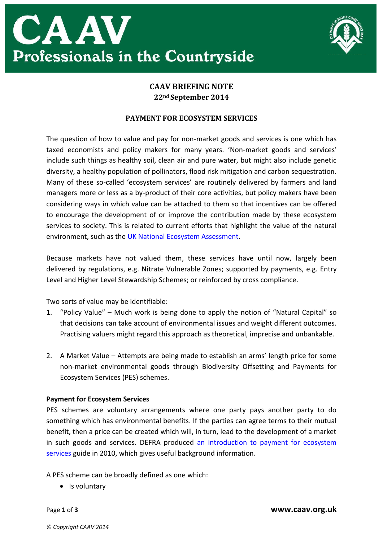



## **CAAV BRIEFING NOTE 22nd September 2014**

## **PAYMENT FOR ECOSYSTEM SERVICES**

The question of how to value and pay for non-market goods and services is one which has taxed economists and policy makers for many years. 'Non-market goods and services' include such things as healthy soil, clean air and pure water, but might also include genetic diversity, a healthy population of pollinators, flood risk mitigation and carbon sequestration. Many of these so-called 'ecosystem services' are routinely delivered by farmers and land managers more or less as a by-product of their core activities, but policy makers have been considering ways in which value can be attached to them so that incentives can be offered to encourage the development of or improve the contribution made by these ecosystem services to society. This is related to current efforts that highlight the value of the natural environment, such as the [UK National Ecosystem Assessment.](http://uknea.unep-wcmc.org/Home/tabid/38/Default.aspx)

Because markets have not valued them, these services have until now, largely been delivered by regulations, e.g. Nitrate Vulnerable Zones; supported by payments, e.g. Entry Level and Higher Level Stewardship Schemes; or reinforced by cross compliance.

Two sorts of value may be identifiable:

- 1. "Policy Value" Much work is being done to apply the notion of "Natural Capital" so that decisions can take account of environmental issues and weight different outcomes. Practising valuers might regard this approach as theoretical, imprecise and unbankable.
- 2. A Market Value Attempts are being made to establish an arms' length price for some non-market environmental goods through Biodiversity Offsetting and Payments for Ecosystem Services (PES) schemes.

## **Payment for Ecosystem Services**

PES schemes are voluntary arrangements where one party pays another party to do something which has environmental benefits. If the parties can agree terms to their mutual benefit, then a price can be created which will, in turn, lead to the development of a market in such goods and services. DEFRA produced [an introduction to payment for ecosystem](http://archive.defra.gov.uk/environment/policy/natural-environ/documents/payments-ecosystem.pdf)  [services](http://archive.defra.gov.uk/environment/policy/natural-environ/documents/payments-ecosystem.pdf) guide in 2010, which gives useful background information.

A PES scheme can be broadly defined as one which:

• Is voluntary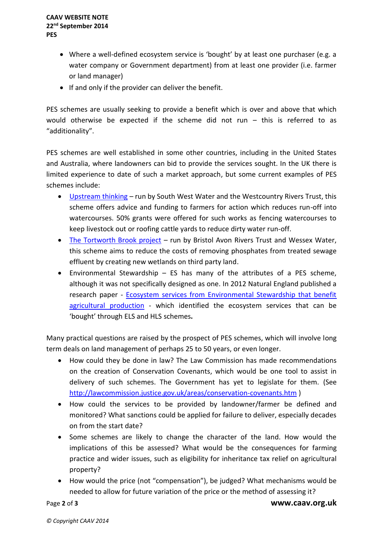- Where a well-defined ecosystem service is 'bought' by at least one purchaser (e.g. a water company or Government department) from at least one provider (i.e. farmer or land manager)
- If and only if the provider can deliver the benefit.

PES schemes are usually seeking to provide a benefit which is over and above that which would otherwise be expected if the scheme did not run – this is referred to as "additionality".

PES schemes are well established in some other countries, including in the United States and Australia, where landowners can bid to provide the services sought. In the UK there is limited experience to date of such a market approach, but some current examples of PES schemes include:

- [Upstream thinking](http://www.upstreamthinking.org/) run by South West Water and the Westcountry Rivers Trust, this scheme offers advice and funding to farmers for action which reduces run-off into watercourses. 50% grants were offered for such works as fencing watercourses to keep livestock out or roofing cattle yards to reduce dirty water run-off.
- [The Tortworth Brook project](http://ecosystemsknowledge.net/sites/default/files/wp-content/uploads/2013/12/EKN_Lowland_BART.pdf) run by Bristol Avon Rivers Trust and Wessex Water, this scheme aims to reduce the costs of removing phosphates from treated sewage effluent by creating new wetlands on third party land.
- Environmental Stewardship ES has many of the attributes of a PES scheme, although it was not specifically designed as one. In 2012 Natural England published a research paper - [Ecosystem services from Environmental Stewardship that benefit](http://publications.naturalengland.org.uk/publication/2322452)  [agricultural production](http://publications.naturalengland.org.uk/publication/2322452) - which identified the ecosystem services that can be 'bought' through ELS and HLS schemes**.**

Many practical questions are raised by the prospect of PES schemes, which will involve long term deals on land management of perhaps 25 to 50 years, or even longer.

- How could they be done in law? The Law Commission has made recommendations on the creation of Conservation Covenants, which would be one tool to assist in delivery of such schemes. The Government has yet to legislate for them. (See <http://lawcommission.justice.gov.uk/areas/conservation-covenants.htm> )
- How could the services to be provided by landowner/farmer be defined and monitored? What sanctions could be applied for failure to deliver, especially decades on from the start date?
- Some schemes are likely to change the character of the land. How would the implications of this be assessed? What would be the consequences for farming practice and wider issues, such as eligibility for inheritance tax relief on agricultural property?
- How would the price (not "compensation"), be judged? What mechanisms would be needed to allow for future variation of the price or the method of assessing it?